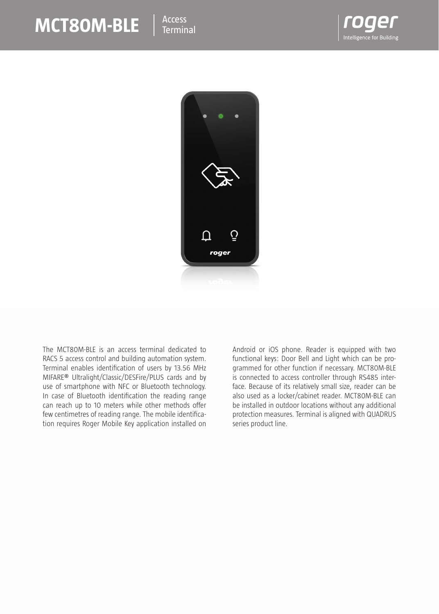## **MCT80M-BLE**  $\parallel$ <sup>Access</sup>





The MCT80M-BLE is an access terminal dedicated to RACS 5 access control and building automation system. Terminal enables identification of users by 13.56 MHz MIFARE® Ultralight/Classic/DESFire/PLUS cards and by use of smartphone with NFC or Bluetooth technology. In case of Bluetooth identification the reading range can reach up to 10 meters while other methods offer few centimetres of reading range. The mobile identification requires Roger Mobile Key application installed on Android or iOS phone. Reader is equipped with two functional keys: Door Bell and Light which can be programmed for other function if necessary. MCT80M-BLE is connected to access controller through RS485 interface. Because of its relatively small size, reader can be also used as a locker/cabinet reader. MCT80M-BLE can be installed in outdoor locations without any additional protection measures. Terminal is aligned with QUADRUS series product line.